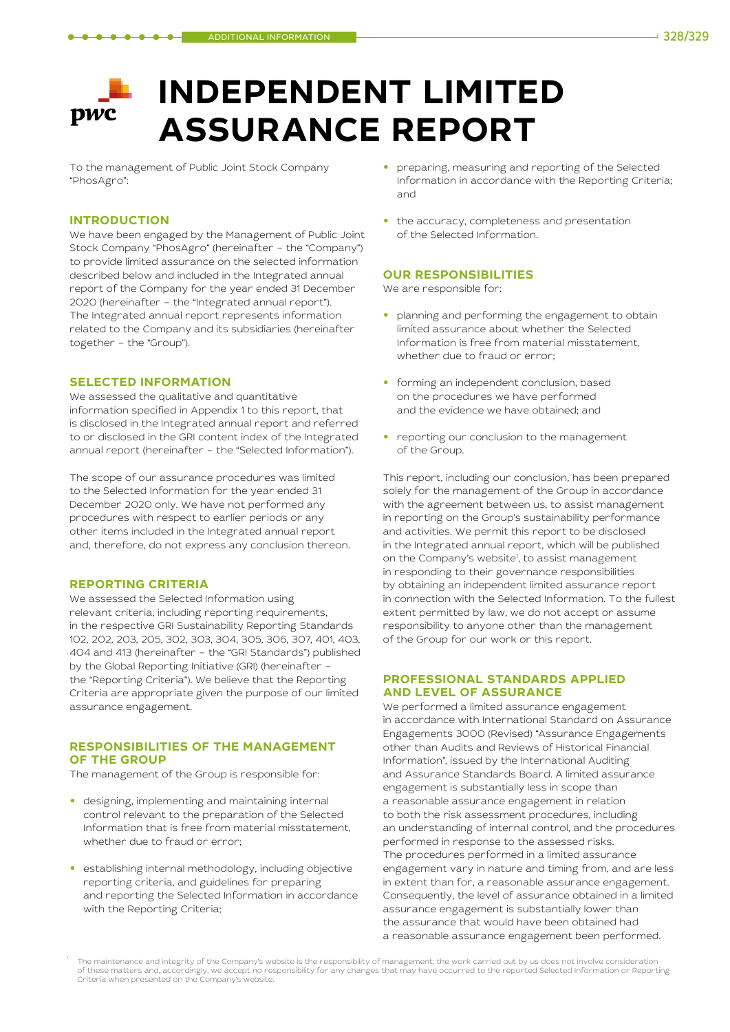# **INDEPENDENT LIMITED pwc ASSURANCE REPORT**

To the management of Public Joint Stock Company "PhosAgro":

# **INTRODUCTION**

We have been engaged by the Management of Public Joint Stock Company "PhosAgro" (hereinafter – the "Company") to provide limited assurance on the selected information described below and included in the Integrated annual report of the Company for the year ended 31 December 2020 (hereinafter – the "Integrated annual report"). The Integrated annual report represents information related to the Company and its subsidiaries (hereinafter together – the "Group").

# **SELECTED INFORMATION**

We assessed the qualitative and quantitative information specified in Appendix 1 to this report, that is disclosed in the Integrated annual report and referred to or disclosed in the GRI content index of the Integrated annual report (hereinafter – the "Selected Information").

The scope of our assurance procedures was limited to the Selected Information for the year ended 31 December 2020 only. We have not performed any procedures with respect to earlier periods or any other items included in the Integrated annual report and, therefore, do not express any conclusion thereon.

#### **REPORTING CRITERIA**

We assessed the Selected Information using relevant criteria, including reporting requirements, in the respective GRI Sustainability Reporting Standards 102, 202, 203, 205, 302, 303, 304, 305, 306, 307, 401, 403, 404 and 413 (hereinafter – the "GRI Standards") published by the Global Reporting Initiative (GRI) (hereinafter – the "Reporting Criteria"). We believe that the Reporting Criteria are appropriate given the purpose of our limited assurance engagement.

# **RESPONSIBILITIES OF THE MANAGEMENT OF THE GROUP**

The management of the Group is responsible for:

- **•** designing, implementing and maintaining internal control relevant to the preparation of the Selected Information that is free from material misstatement, whether due to fraud or error;
- **•** establishing internal methodology, including objective reporting criteria, and guidelines for preparing and reporting the Selected Information in accordance with the Reporting Criteria;
- **•** preparing, measuring and reporting of the Selected Information in accordance with the Reporting Criteria; and
- **•** the accuracy, completeness and presentation of the Selected Information.

# **OUR RESPONSIBILITIES**

We are responsible for:

- **•** planning and performing the engagement to obtain limited assurance about whether the Selected Information is free from material misstatement, whether due to fraud or error;
- **•** forming an independent conclusion, based on the procedures we have performed and the evidence we have obtained; and
- **•** reporting our conclusion to the management of the Group.

This report, including our conclusion, has been prepared solely for the management of the Group in accordance with the agreement between us, to assist management in reporting on the Group's sustainability performance and activities. We permit this report to be disclosed in the Integrated annual report, which will be published on the Company's website<sup>1</sup>, to assist management in responding to their governance responsibilities by obtaining an independent limited assurance report in connection with the Selected Information. To the fullest extent permitted by law, we do not accept or assume responsibility to anyone other than the management of the Group for our work or this report.

# **PROFESSIONAL STANDARDS APPLIED AND LEVEL OF ASSURANCE**

We performed a limited assurance engagement in accordance with International Standard on Assurance Engagements 3000 (Revised) "Assurance Engagements other than Audits and Reviews of Historical Financial Information", issued by the International Auditing and Assurance Standards Board. A limited assurance engagement is substantially less in scope than a reasonable assurance engagement in relation to both the risk assessment procedures, including an understanding of internal control, and the procedures performed in response to the assessed risks. The procedures performed in a limited assurance engagement vary in nature and timing from, and are less in extent than for, a reasonable assurance engagement. Consequently, the level of assurance obtained in a limited assurance engagement is substantially lower than the assurance that would have been obtained had a reasonable assurance engagement been performed.

The maintenance and integrity of the Company's website is the responsibility of management; the work carried out by us does not involve consideration of these matters and, accordingly, we accept no responsibility for any changes that may have occurred to the reported Selected Information or Reporting Criteria when presented on the Company's website.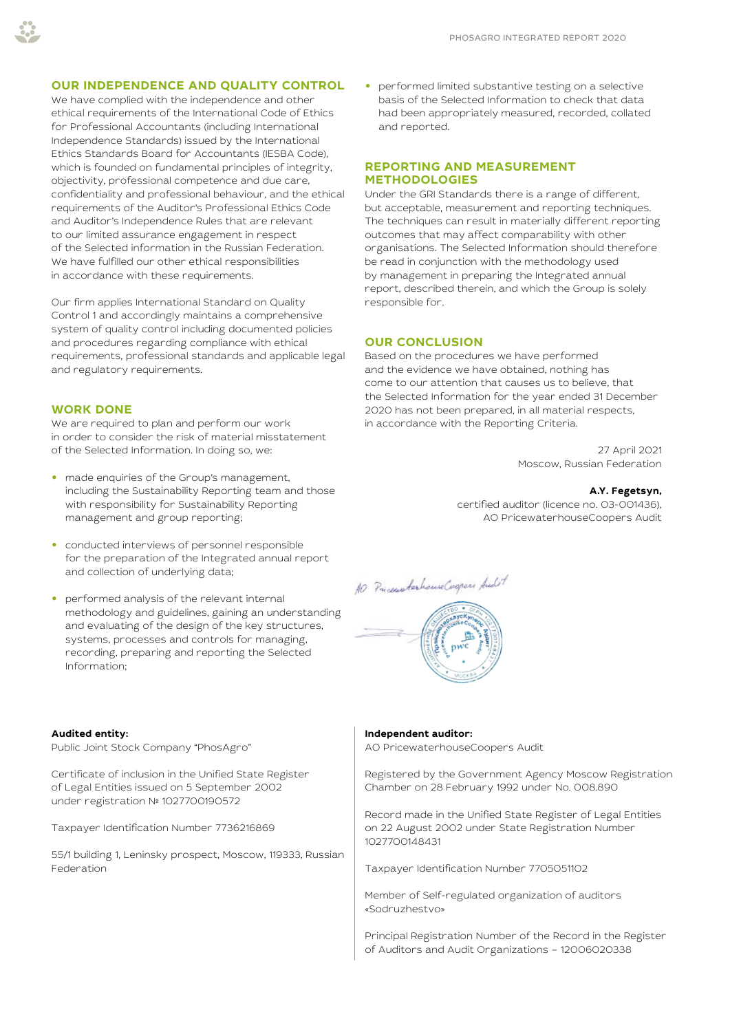# **OUR INDEPENDENCE AND QUALITY CONTROL**

We have complied with the independence and other ethical requirements of the International Code of Ethics for Professional Accountants (including International Independence Standards) issued by the International Ethics Standards Board for Accountants (IESBA Code), which is founded on fundamental principles of integrity, objectivity, professional competence and due care, confidentiality and professional behaviour, and the ethical requirements of the Auditor's Professional Ethics Code and Auditor's Independence Rules that are relevant to our limited assurance engagement in respect of the Selected information in the Russian Federation. We have fulfilled our other ethical responsibilities in accordance with these requirements.

Our firm applies International Standard on Quality Control 1 and accordingly maintains a comprehensive system of quality control including documented policies and procedures regarding compliance with ethical requirements, professional standards and applicable legal and regulatory requirements.

#### **WORK DONE**

We are required to plan and perform our work in order to consider the risk of material misstatement of the Selected Information. In doing so, we:

- **•** made enquiries of the Group's management, including the Sustainability Reporting team and those with responsibility for Sustainability Reporting management and group reporting;
- **•** conducted interviews of personnel responsible for the preparation of the Integrated annual report and collection of underlying data;
- **•** performed analysis of the relevant internal methodology and guidelines, gaining an understanding and evaluating of the design of the key structures, systems, processes and controls for managing, recording, preparing and reporting the Selected Information;

#### **Audited entity:**

Public Joint Stock Company "PhosAgro"

Certificate of inclusion in the Unified State Register of Legal Entities issued on 5 September 2002 under registration № 1027700190572

Taxpayer Identification Number 7736216869

55/1 building 1, Leninsky prospect, Moscow, 119333, Russian Federation

**•** performed limited substantive testing on a selective basis of the Selected Information to check that data had been appropriately measured, recorded, collated and reported.

# **REPORTING AND MEASUREMENT METHODOLOGIES**

Under the GRI Standards there is a range of different, but acceptable, measurement and reporting techniques. The techniques can result in materially different reporting outcomes that may affect comparability with other organisations. The Selected Information should therefore be read in conjunction with the methodology used by management in preparing the Integrated annual report, described therein, and which the Group is solely responsible for.

#### **OUR CONCLUSION**

Based on the procedures we have performed and the evidence we have obtained, nothing has come to our attention that causes us to believe, that the Selected Information for the year ended 31 December 2020 has not been prepared, in all material respects, in accordance with the Reporting Criteria.

> 27 April 2021 Moscow, Russian Federation

#### **A.Y. Fegetsyn,**

certified auditor (licence no. 03-001436), AO PricewaterhouseCoopers Audit

10 PricewaterhouseCogness Audit

#### **Independent auditor:**

AO PricewaterhouseCoopers Audit

Registered by the Government Agency Moscow Registration Chamber on 28 February 1992 under Nо. 008.890

Record made in the Unified State Register of Legal Entities on 22 August 2002 under State Registration Number 1027700148431

Taxpayer Identification Number 7705051102

Member of Self-regulated organization of auditors «Sodruzhestvo»

Principal Registration Number of the Record in the Register of Auditors and Audit Organizations – 12006020338